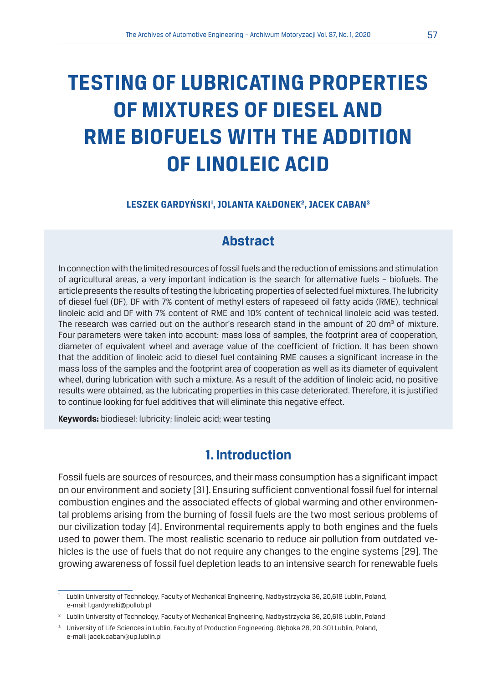# **TESTING OF LUBRICATING PROPERTIES OF MIXTURES OF DIESEL AND RME BIOFUELS WITH THE ADDITION OF LINOLEIC ACID**

#### **LESZEK GARDYŃSKI1 , JOLANTA KAŁDONEK2 , JACEK CABAN3**

# **Abstract**

In connection with the limited resources of fossil fuels and the reduction of emissions and stimulation of agricultural areas, a very important indication is the search for alternative fuels – biofuels. The article presents the results of testing the lubricating properties of selected fuel mixtures. The lubricity of diesel fuel (DF), DF with 7% content of methyl esters of rapeseed oil fatty acids (RME), technical linoleic acid and DF with 7% content of RME and 10% content of technical linoleic acid was tested. The research was carried out on the author's research stand in the amount of 20 dm<sup>3</sup> of mixture. Four parameters were taken into account: mass loss of samples, the footprint area of cooperation, diameter of equivalent wheel and average value of the coefficient of friction. It has been shown that the addition of linoleic acid to diesel fuel containing RME causes a significant increase in the mass loss of the samples and the footprint area of cooperation as well as its diameter of equivalent wheel, during lubrication with such a mixture. As a result of the addition of linoleic acid, no positive results were obtained, as the lubricating properties in this case deteriorated. Therefore, it is justified to continue looking for fuel additives that will eliminate this negative effect.

**Keywords:** biodiesel; lubricity; linoleic acid; wear testing

# **1. Introduction**

Fossil fuels are sources of resources, and their mass consumption has a significant impact on our environment and society [31]. Ensuring sufficient conventional fossil fuel for internal combustion engines and the associated effects of global warming and other environmental problems arising from the burning of fossil fuels are the two most serious problems of our civilization today [4]. Environmental requirements apply to both engines and the fuels used to power them. The most realistic scenario to reduce air pollution from outdated vehicles is the use of fuels that do not require any changes to the engine systems [29]. The growing awareness of fossil fuel depletion leads to an intensive search for renewable fuels

<sup>&</sup>lt;sup>1</sup> Lublin University of Technology, Faculty of Mechanical Engineering, Nadbystrzycka 36, 20,618 Lublin, Poland, e-mail: l.gardynski@pollub.pl

<sup>2</sup> Lublin University of Technology, Faculty of Mechanical Engineering, Nadbystrzycka 36, 20,618 Lublin, Poland

<sup>3</sup> University of Life Sciences in Lublin, Faculty of Production Engineering, Głęboka 28, 20-301 Lublin, Poland, e-mail: jacek.caban@up.lublin.pl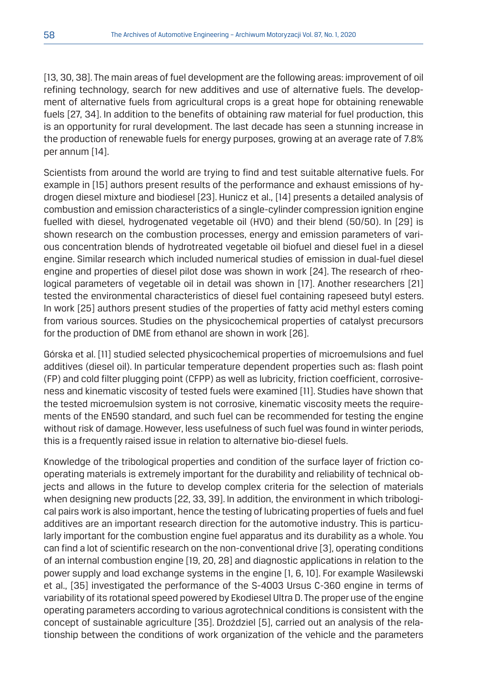[13, 30, 38]. The main areas of fuel development are the following areas: improvement of oil refining technology, search for new additives and use of alternative fuels. The development of alternative fuels from agricultural crops is a great hope for obtaining renewable fuels [27, 34]. In addition to the benefits of obtaining raw material for fuel production, this is an opportunity for rural development. The last decade has seen a stunning increase in the production of renewable fuels for energy purposes, growing at an average rate of 7.8% per annum [14].

Scientists from around the world are trying to find and test suitable alternative fuels. For example in [15] authors present results of the performance and exhaust emissions of hydrogen diesel mixture and biodiesel [23]. Hunicz et al., [14] presents a detailed analysis of combustion and emission characteristics of a single-cylinder compression ignition engine fuelled with diesel, hydrogenated vegetable oil (HVO) and their blend (50/50). In [29] is shown research on the combustion processes, energy and emission parameters of various concentration blends of hydrotreated vegetable oil biofuel and diesel fuel in a diesel engine. Similar research which included numerical studies of emission in dual-fuel diesel engine and properties of diesel pilot dose was shown in work [24]. The research of rheological parameters of vegetable oil in detail was shown in [17]. Another researchers [21] tested the environmental characteristics of diesel fuel containing rapeseed butyl esters. In work [25] authors present studies of the properties of fatty acid methyl esters coming from various sources. Studies on the physicochemical properties of catalyst precursors for the production of DME from ethanol are shown in work [26].

Górska et al. [11] studied selected physicochemical properties of microemulsions and fuel additives (diesel oil). In particular temperature dependent properties such as: flash point (FP) and cold filter plugging point (CFPP) as well as lubricity, friction coefficient, corrosiveness and kinematic viscosity of tested fuels were examined [11]. Studies have shown that the tested microemulsion system is not corrosive, kinematic viscosity meets the requirements of the EN590 standard, and such fuel can be recommended for testing the engine without risk of damage. However, less usefulness of such fuel was found in winter periods, this is a frequently raised issue in relation to alternative bio-diesel fuels.

Knowledge of the tribological properties and condition of the surface layer of friction cooperating materials is extremely important for the durability and reliability of technical objects and allows in the future to develop complex criteria for the selection of materials when designing new products [22, 33, 39]. In addition, the environment in which tribological pairs work is also important, hence the testing of lubricating properties of fuels and fuel additives are an important research direction for the automotive industry. This is particularly important for the combustion engine fuel apparatus and its durability as a whole. You can find a lot of scientific research on the non-conventional drive [3], operating conditions of an internal combustion engine [19, 20, 28] and diagnostic applications in relation to the power supply and load exchange systems in the engine [1, 6, 10]. For example Wasilewski et al., [35] investigated the performance of the S-4003 Ursus C-360 engine in terms of variability of its rotational speed powered by Ekodiesel Ultra D. The proper use of the engine operating parameters according to various agrotechnical conditions is consistent with the concept of sustainable agriculture [35]. Droździel [5], carried out an analysis of the relationship between the conditions of work organization of the vehicle and the parameters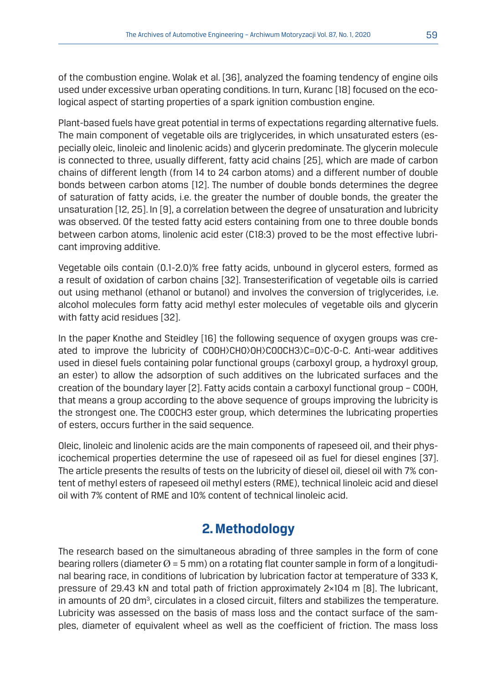of the combustion engine. Wolak et al. [36], analyzed the foaming tendency of engine oils used under excessive urban operating conditions. In turn, Kuranc [18] focused on the ecological aspect of starting properties of a spark ignition combustion engine.

Plant-based fuels have great potential in terms of expectations regarding alternative fuels. The main component of vegetable oils are triglycerides, in which unsaturated esters (especially oleic, linoleic and linolenic acids) and glycerin predominate. The glycerin molecule is connected to three, usually different, fatty acid chains [25], which are made of carbon chains of different length (from 14 to 24 carbon atoms) and a different number of double bonds between carbon atoms [12]. The number of double bonds determines the degree of saturation of fatty acids, i.e. the greater the number of double bonds, the greater the unsaturation [12, 25]. In [9], a correlation between the degree of unsaturation and lubricity was observed. Of the tested fatty acid esters containing from one to three double bonds between carbon atoms, linolenic acid ester (C18:3) proved to be the most effective lubricant improving additive.

Vegetable oils contain (0.1-2.0)% free fatty acids, unbound in glycerol esters, formed as a result of oxidation of carbon chains [32]. Transesterification of vegetable oils is carried out using methanol (ethanol or butanol) and involves the conversion of triglycerides, i.e. alcohol molecules form fatty acid methyl ester molecules of vegetable oils and glycerin with fatty acid residues [32].

In the paper Knothe and Steidley [16] the following sequence of oxygen groups was created to improve the lubricity of COOH>CHO>OH>COOCH3>C=O>C-O-C. Anti-wear additives used in diesel fuels containing polar functional groups (carboxyl group, a hydroxyl group, an ester) to allow the adsorption of such additives on the lubricated surfaces and the creation of the boundary layer [2]. Fatty acids contain a carboxyl functional group – COOH, that means a group according to the above sequence of groups improving the lubricity is the strongest one. The COOCH3 ester group, which determines the lubricating properties of esters, occurs further in the said sequence.

Oleic, linoleic and linolenic acids are the main components of rapeseed oil, and their physicochemical properties determine the use of rapeseed oil as fuel for diesel engines [37]. The article presents the results of tests on the lubricity of diesel oil, diesel oil with 7% content of methyl esters of rapeseed oil methyl esters (RME), technical linoleic acid and diesel oil with 7% content of RME and 10% content of technical linoleic acid.

# **2. Methodology**

The research based on the simultaneous abrading of three samples in the form of cone bearing rollers (diameter  $\varnothing$  = 5 mm) on a rotating flat counter sample in form of a longitudinal bearing race, in conditions of lubrication by lubrication factor at temperature of 333 K, pressure of 29.43 kN and total path of friction approximately 2×104 m [8]. The lubricant, in amounts of 20 dm<sup>3</sup>, circulates in a closed circuit, filters and stabilizes the temperature. Lubricity was assessed on the basis of mass loss and the contact surface of the samples, diameter of equivalent wheel as well as the coefficient of friction. The mass loss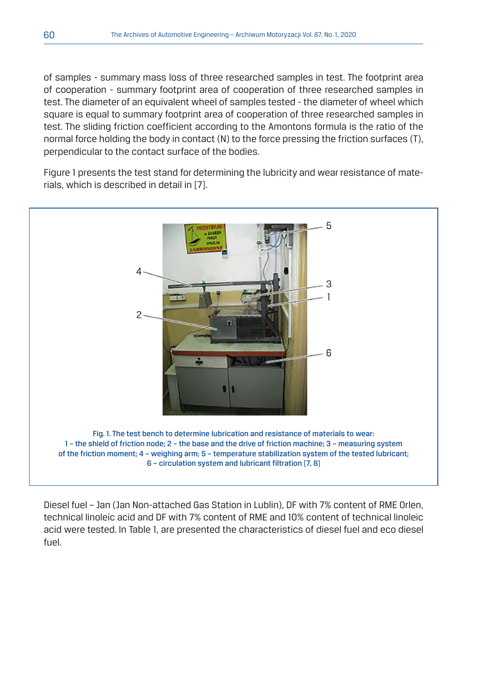of samples - summary mass loss of three researched samples in test. The footprint area of cooperation - summary footprint area of cooperation of three researched samples in test. The diameter of an equivalent wheel of samples tested - the diameter of wheel which square is equal to summary footprint area of cooperation of three researched samples in test. The sliding friction coefficient according to the Amontons formula is the ratio of the normal force holding the body in contact (N) to the force pressing the friction surfaces (T), perpendicular to the contact surface of the bodies.

Figure 1 presents the test stand for determining the lubricity and wear resistance of materials, which is described in detail in [7].



Diesel fuel – Jan (Jan Non-attached Gas Station in Lublin), DF with 7% content of RME Orlen, technical linoleic acid and DF with 7% content of RME and 10% content of technical linoleic acid were tested. In Table 1, are presented the characteristics of diesel fuel and eco diesel fuel.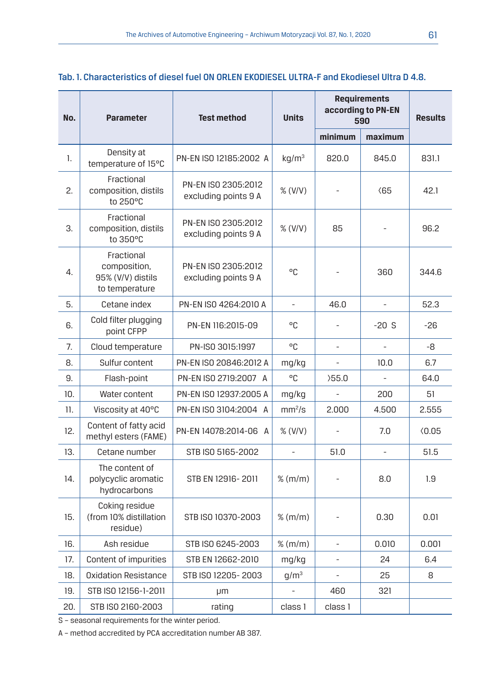| Tab. 1. Characteristics of diesel fuel ON ORLEN EKODIESEL ULTRA-F and Ekodiesel Ultra D 4.8. |
|----------------------------------------------------------------------------------------------|
|                                                                                              |

| No. | <b>Parameter</b>                                                  | <b>Test method</b>                          | <b>Units</b>             | <b>Requirements</b><br>according to PN-EN<br>590 |                | <b>Results</b> |
|-----|-------------------------------------------------------------------|---------------------------------------------|--------------------------|--------------------------------------------------|----------------|----------------|
|     |                                                                   |                                             |                          | minimum                                          | maximum        |                |
| 1.  | Density at<br>temperature of 15°C                                 | PN-EN ISO 12185:2002 A                      | kq/m <sup>3</sup>        | 820.0                                            | 845.0          | 831.1          |
| 2.  | Fractional<br>composition, distils<br>to 250°C                    | PN-EN ISO 2305:2012<br>excluding points 9 A | % (V/V)                  |                                                  | $\langle 65$   | 42.1           |
| 3.  | Fractional<br>composition, distils<br>to 350°C                    | PN-EN ISO 2305:2012<br>excluding points 9 A | % (V/V)                  | 85                                               |                | 96.2           |
| 4.  | Fractional<br>composition,<br>95% (V/V) distils<br>to temperature | PN-EN ISO 2305:2012<br>excluding points 9 A | °C                       |                                                  | 360            | 344.6          |
| 5.  | Cetane index                                                      | PN-EN ISO 4264:2010 A                       | $\overline{\phantom{a}}$ | 46.0                                             | $\frac{1}{2}$  | 52.3           |
| 6.  | Cold filter plugging<br>point CFPP                                | PN-EN 116:2015-09                           | °C                       |                                                  | $-20S$         | -26            |
| 7.  | Cloud temperature                                                 | PN-ISO 3015:1997                            | °C.                      |                                                  | $\overline{a}$ | -8             |
| 8.  | Sulfur content                                                    | PN-EN ISO 20846:2012 A                      | mg/kg                    |                                                  | 10.0           | 6.7            |
| 9.  | Flash-point                                                       | PN-EN ISO 2719:2007 A                       | °C.                      | 55.0                                             |                | 64.0           |
| 10. | Water content                                                     | PN-EN ISO 12937:2005 A                      | mg/kg                    |                                                  | 200            | 51             |
| 11. | Viscosity at 40°C                                                 | PN-EN ISO 3104:2004 A                       | mm <sup>2</sup> /s       | 2.000                                            | 4.500          | 2.555          |
| 12. | Content of fatty acid<br>methyl esters (FAME)                     | PN-EN 14078:2014-06 A                       | % (V/V)                  |                                                  | 7.0            | (0.05)         |
| 13. | Cetane number                                                     | STB ISO 5165-2002                           |                          | 51.0                                             |                | 51.5           |
| 14. | The content of<br>polycyclic aromatic<br>hydrocarbons             | STB EN 12916-2011                           | $%$ (m/m)                |                                                  | 8.0            | 1.9            |
| 15. | Coking residue<br>(from 10% distillation<br>residue)              | STB ISO 10370-2003                          | $%$ (m/m)                | $\overline{a}$                                   | 0.30           | 0.01           |
| 16. | Ash residue                                                       | STB ISO 6245-2003                           | $%$ (m/m)                |                                                  | 0.010          | 0.001          |
| 17. | Content of impurities                                             | STB EN 12662-2010                           | mg/kg                    |                                                  | 24             | 6.4            |
| 18. | Oxidation Resistance                                              | STB ISO 12205-2003                          | q/m <sup>3</sup>         |                                                  | 25             | 8              |
| 19. | STB ISO 12156-1-2011                                              | μm                                          |                          | 460                                              | 321            |                |
| 20. | STB ISO 2160-2003                                                 | rating                                      | class 1                  | class 1                                          |                |                |

S – seasonal requirements for the winter period.

A – method accredited by PCA accreditation number AB 387.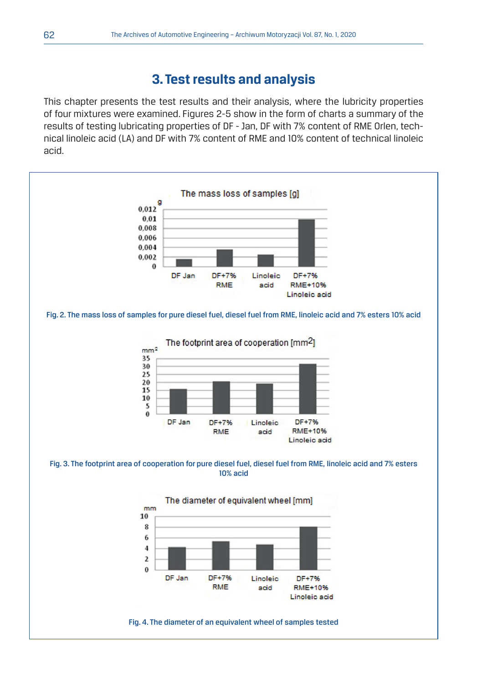## **3. Test results and analysis**

This chapter presents the test results and their analysis, where the lubricity properties of four mixtures were examined. Figures 2-5 show in the form of charts a summary of the results of testing lubricating properties of DF - Jan, DF with 7% content of RME Orlen, technical linoleic acid (LA) and DF with 7% content of RME and 10% content of technical linoleic acid.

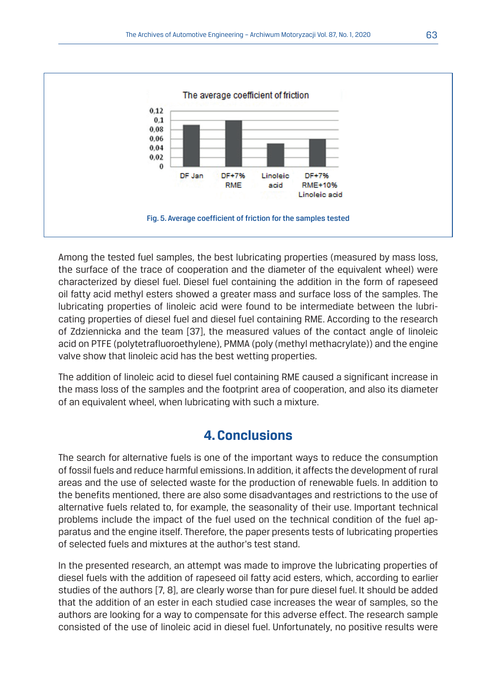

Among the tested fuel samples, the best lubricating properties (measured by mass loss, the surface of the trace of cooperation and the diameter of the equivalent wheel) were characterized by diesel fuel. Diesel fuel containing the addition in the form of rapeseed oil fatty acid methyl esters showed a greater mass and surface loss of the samples. The lubricating properties of linoleic acid were found to be intermediate between the lubricating properties of diesel fuel and diesel fuel containing RME. According to the research of Zdziennicka and the team [37], the measured values of the contact angle of linoleic acid on PTFE (polytetrafluoroethylene), PMMA (poly (methyl methacrylate)) and the engine valve show that linoleic acid has the best wetting properties.

The addition of linoleic acid to diesel fuel containing RME caused a significant increase in the mass loss of the samples and the footprint area of cooperation, and also its diameter of an equivalent wheel, when lubricating with such a mixture.

# **4. Conclusions**

The search for alternative fuels is one of the important ways to reduce the consumption of fossil fuels and reduce harmful emissions. In addition, it affects the development of rural areas and the use of selected waste for the production of renewable fuels. In addition to the benefits mentioned, there are also some disadvantages and restrictions to the use of alternative fuels related to, for example, the seasonality of their use. Important technical problems include the impact of the fuel used on the technical condition of the fuel apparatus and the engine itself. Therefore, the paper presents tests of lubricating properties of selected fuels and mixtures at the author's test stand.

In the presented research, an attempt was made to improve the lubricating properties of diesel fuels with the addition of rapeseed oil fatty acid esters, which, according to earlier studies of the authors [7, 8], are clearly worse than for pure diesel fuel. It should be added that the addition of an ester in each studied case increases the wear of samples, so the authors are looking for a way to compensate for this adverse effect. The research sample consisted of the use of linoleic acid in diesel fuel. Unfortunately, no positive results were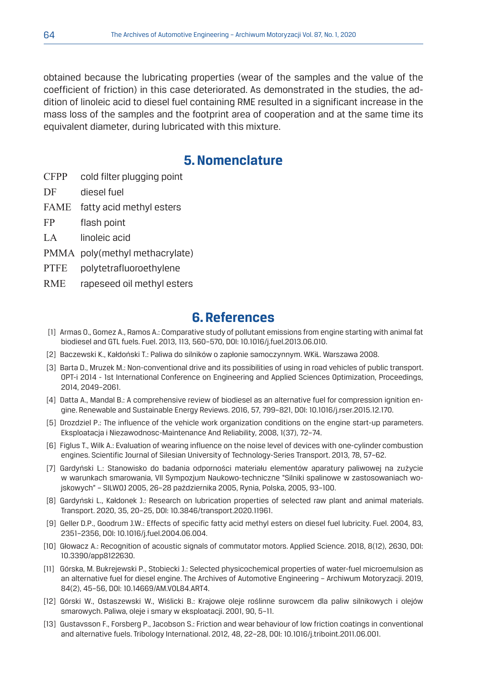obtained because the lubricating properties (wear of the samples and the value of the coefficient of friction) in this case deteriorated. As demonstrated in the studies, the addition of linoleic acid to diesel fuel containing RME resulted in a significant increase in the mass loss of the samples and the footprint area of cooperation and at the same time its equivalent diameter, during lubricated with this mixture.

#### **5. Nomenclature**

- CFPP cold filter plugging point
- DF diesel fuel
- FAME fatty acid methyl esters
- FP flash point
- LA linoleic acid
- PMMA poly(methyl methacrylate)
- PTFE polytetrafluoroethylene
- RME rapeseed oil methyl esters

## **6. References**

- [1] Armas O., Gomez A., Ramos A.: Comparative study of pollutant emissions from engine starting with animal fat biodiesel and GTL fuels. Fuel. 2013, 113, 560–570, DOI: 10.1016/j.fuel.2013.06.010.
- [2] Baczewski K., Kałdoński T.: Paliwa do silników o zapłonie samoczynnym. WKiŁ. Warszawa 2008.
- [3] Barta D., Mruzek M.: Non-conventional drive and its possibilities of using in road vehicles of public transport. OPT-i 2014 - 1st International Conference on Engineering and Applied Sciences Optimization, Proceedings, 2014, 2049–2061.
- [4] Datta A., Mandal B.: A comprehensive review of biodiesel as an alternative fuel for compression ignition engine. Renewable and Sustainable Energy Reviews. 2016, 57, 799–821, DOI: 10.1016/j.rser.2015.12.170.
- [5] Drozdziel P.: The influence of the vehicle work organization conditions on the engine start-up parameters. Eksploatacja i Niezawodnosc-Maintenance And Reliability, 2008, 1(37), 72–74.
- [6] Figlus T., Wilk A.: Evaluation of wearing influence on the noise level of devices with one-cylinder combustion engines. Scientific Journal of Silesian University of Technology-Series Transport. 2013, 78, 57–62.
- [7] Gardyński L.: Stanowisko do badania odporności materiału elementów aparatury paliwowej na zużycie w warunkach smarowania, VII Sympozjum Naukowo-techniczne "Silniki spalinowe w zastosowaniach wojskowych" – SILWOJ 2005, 26–28 października 2005, Rynia, Polska, 2005, 93–100.
- [8] Gardyński L., Kałdonek J.: Research on lubrication properties of selected raw plant and animal materials. Transport. 2020, 35, 20–25, DOI: 10.3846/transport.2020.11961.
- [9] Geller D.P., Goodrum J.W.: Effects of specific fatty acid methyl esters on diesel fuel lubricity. Fuel. 2004, 83, 2351–2356, DOI: 10.1016/j.fuel.2004.06.004.
- [10] Głowacz A.: Recognition of acoustic signals of commutator motors. Applied Science. 2018, 8(12), 2630, DOI: 10.3390/app8122630.
- [11] Górska, M. Bukrejewski P., Stobiecki J.: Selected physicochemical properties of water-fuel microemulsion as an alternative fuel for diesel engine. The Archives of Automotive Engineering – Archiwum Motoryzacji. 2019, 84(2), 45–56, DOI: 10.14669/AM.VOL84.ART4.
- [12] Górski W., Ostaszewski W., Wiślicki B.: Krajowe oleje roślinne surowcem dla paliw silnikowych i olejów smarowych. Paliwa, oleje i smary w eksploatacji. 2001, 90, 5–11.
- [13] Gustavsson F., Forsberg P., Jacobson S.: Friction and wear behaviour of low friction coatings in conventional and alternative fuels. Tribology International. 2012, 48, 22–28, DOI: 10.1016/j.triboint.2011.06.001.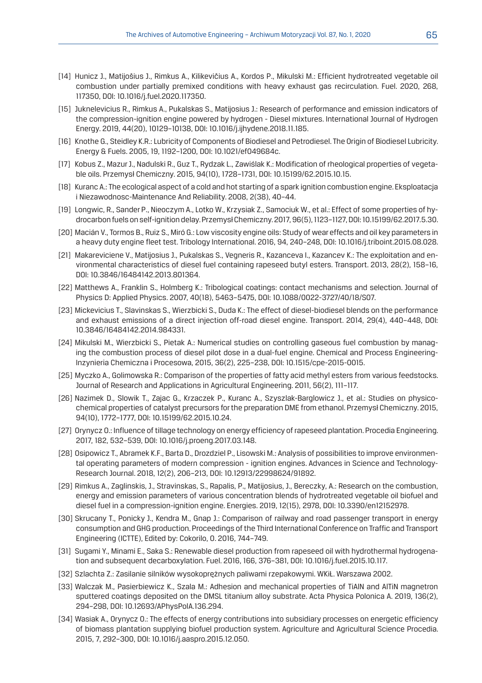- [14] Hunicz J., Matijošius J., Rimkus A., Kilikevičius A., Kordos P., Mikulski M.: Efficient hydrotreated vegetable oil combustion under partially premixed conditions with heavy exhaust gas recirculation. Fuel. 2020, 268, 117350, DOI: 10.1016/j.fuel.2020.117350.
- [15] Juknelevicius R., Rimkus A., Pukalskas S., Matijosius J.: Research of performance and emission indicators of the compression-ignition engine powered by hydrogen - Diesel mixtures. International Journal of Hydrogen Energy. 2019, 44(20), 10129–10138, DOI: 10.1016/j.ijhydene.2018.11.185.
- [16] Knothe G., Steidley K.R.: Lubricity of Components of Biodiesel and Petrodiesel. The Origin of Biodiesel Lubricity. Energy & Fuels. 2005, 19, 1192–1200, DOI: 10.1021/ef049684c.
- [17] Kobus Z., Mazur J., Nadulski R., Guz T., Rydzak L., Zawiślak K.: Modification of rheological properties of vegetable oils. Przemysł Chemiczny. 2015, 94(10), 1728–1731, DOI: 10.15199/62.2015.10.15.
- [18] Kuranc A.: The ecological aspect of a cold and hot starting of a spark ignition combustion engine. Eksploatacja i Niezawodnosc-Maintenance And Reliability. 2008, 2(38), 40–44.
- [19] Longwic, R., Sander P., Nieoczym A., Lotko W., Krzysiak Z., Samociuk W., et al.: Effect of some properties of hydrocarbon fuels on self-ignition delay. Przemysł Chemiczny. 2017, 96(5), 1123–1127, DOI: 10.15199/62.2017.5.30.
- [20] Macián V., Tormos B., Ruiz S., Miró G.: Low viscosity engine oils: Study of wear effects and oil key parameters in a heavy duty engine fleet test. Tribology International. 2016, 94, 240–248, DOI: 10.1016/j.triboint.2015.08.028.
- [21] Makareviciene V., Matijosius J., Pukalskas S., Vegneris R., Kazanceva I., Kazancev K.: The exploitation and environmental characteristics of diesel fuel containing rapeseed butyl esters. Transport. 2013, 28(2), 158–16, DOI: 10.3846/16484142.2013.801364.
- [22] Matthews A., Franklin S., Holmberg K.: Tribological coatings: contact mechanisms and selection. Journal of Physics D: Applied Physics. 2007, 40(18), 5463–5475, DOI: 10.1088/0022-3727/40/18/S07.
- [23] Mickevicius T., Slavinskas S., Wierzbicki S., Duda K.: The effect of diesel-biodiesel blends on the performance and exhaust emissions of a direct injection off-road diesel engine. Transport. 2014, 29(4), 440–448, DOI: 10.3846/16484142.2014.984331.
- [24] Mikulski M., Wierzbicki S., Pietak A.: Numerical studies on controlling gaseous fuel combustion by managing the combustion process of diesel pilot dose in a dual-fuel engine. Chemical and Process Engineering-Inzynieria Chemiczna i Procesowa, 2015, 36(2), 225–238, DOI: 10.1515/cpe-2015-0015.
- [25] Myczko A., Golimowska R.: Comparison of the properties of fatty acid methyl esters from various feedstocks. Journal of Research and Applications in Agricultural Engineering. 2011, 56(2), 111–117.
- [26] Nazimek D., Slowik T., Zajac G., Krzaczek P., Kuranc A., Szyszlak-Barglowicz J., et al.: Studies on physicochemical properties of catalyst precursors for the preparation DME from ethanol. Przemysł Chemiczny. 2015, 94(10), 1772–1777, DOI: 10.15199/62.2015.10.24.
- [27] Orynycz O.: Influence of tillage technology on energy efficiency of rapeseed plantation. Procedia Engineering. 2017, 182, 532–539, DOI: 10.1016/j.proeng.2017.03.148.
- [28] Osipowicz T., Abramek K.F., Barta D., Drozdziel P., Lisowski M.: Analysis of possibilities to improve environmental operating parameters of modern compression - ignition engines. Advances in Science and Technology-Research Journal. 2018, 12(2), 206–213, DOI: 10.12913/22998624/91892.
- [29] Rimkus A., Zaglinskis, J., Stravinskas, S., Rapalis, P., Matijosius, J., Bereczky, A.: Research on the combustion, energy and emission parameters of various concentration blends of hydrotreated vegetable oil biofuel and diesel fuel in a compression-ignition engine. Energies. 2019, 12(15), 2978, DOI: 10.3390/en12152978.
- [30] Skrucany T., Ponicky J., Kendra M., Gnap J.: Comparison of railway and road passenger transport in energy consumption and GHG production. Proceedings of the Third International Conference on Traffic and Transport Engineering (ICTTE), Edited by: Cokorilo, O. 2016, 744–749.
- [31] Sugami Y., Minami E., Saka S.: Renewable diesel production from rapeseed oil with hydrothermal hydrogenation and subsequent decarboxylation. Fuel. 2016, 166, 376–381, DOI: 10.1016/j.fuel.2015.10.117.
- [32] Szlachta Z.: Zasilanie silników wysokoprężnych paliwami rzepakowymi. WKiŁ. Warszawa 2002.
- [33] Walczak M., Pasierbiewicz K., Szala M.: Adhesion and mechanical properties of TiAlN and AlTiN magnetron sputtered coatings deposited on the DMSL titanium alloy substrate. Acta Physica Polonica A. 2019, 136(2), 294–298, DOI: 10.12693/APhysPolA.136.294.
- [34] Wasiak A., Orynycz O.: The effects of energy contributions into subsidiary processes on energetic efficiency of biomass plantation supplying biofuel production system. Agriculture and Agricultural Science Procedia. 2015, 7, 292–300, DOI: 10.1016/j.aaspro.2015.12.050.